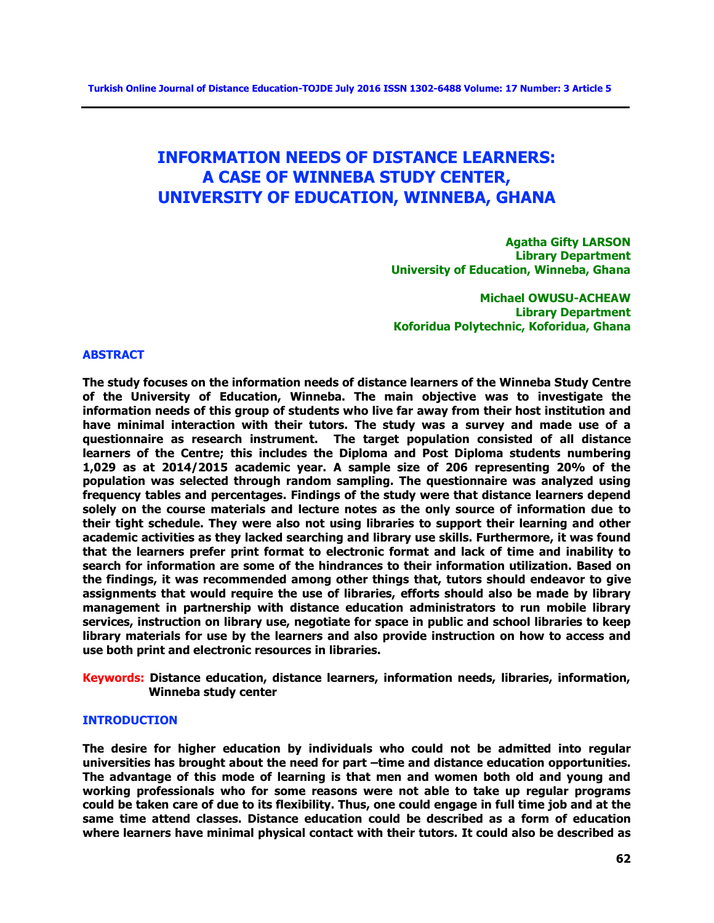# **INFORMATION NEEDS OF DISTANCE LEARNERS: A CASE OF WINNEBA STUDY CENTER, UNIVERSITY OF EDUCATION, WINNEBA, GHANA**

**Agatha Gifty LARSON Library Department University of Education, Winneba, Ghana** 

**Michael OWUSU-ACHEAW Library Department Koforidua Polytechnic, Koforidua, Ghana** 

#### **ABSTRACT**

**The study focuses on the information needs of distance learners of the Winneba Study Centre of the University of Education, Winneba. The main objective was to investigate the information needs of this group of students who live far away from their host institution and have minimal interaction with their tutors. The study was a survey and made use of a questionnaire as research instrument. The target population consisted of all distance learners of the Centre; this includes the Diploma and Post Diploma students numbering 1,029 as at 2014/2015 academic year. A sample size of 206 representing 20% of the population was selected through random sampling. The questionnaire was analyzed using frequency tables and percentages. Findings of the study were that distance learners depend solely on the course materials and lecture notes as the only source of information due to their tight schedule. They were also not using libraries to support their learning and other academic activities as they lacked searching and library use skills. Furthermore, it was found that the learners prefer print format to electronic format and lack of time and inability to search for information are some of the hindrances to their information utilization. Based on the findings, it was recommended among other things that, tutors should endeavor to give assignments that would require the use of libraries, efforts should also be made by library management in partnership with distance education administrators to run mobile library services, instruction on library use, negotiate for space in public and school libraries to keep library materials for use by the learners and also provide instruction on how to access and use both print and electronic resources in libraries.** 

**Keywords: Distance education, distance learners, information needs, libraries, information, Winneba study center** 

#### **INTRODUCTION**

**The desire for higher education by individuals who could not be admitted into regular universities has brought about the need for part –time and distance education opportunities. The advantage of this mode of learning is that men and women both old and young and working professionals who for some reasons were not able to take up regular programs could be taken care of due to its flexibility. Thus, one could engage in full time job and at the same time attend classes. Distance education could be described as a form of education where learners have minimal physical contact with their tutors. It could also be described as**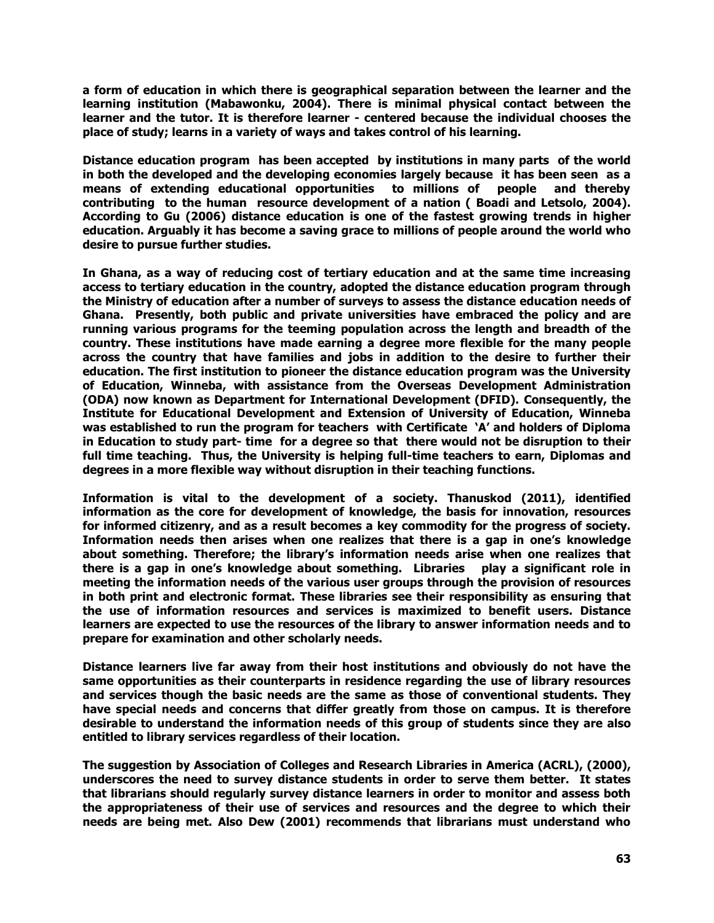**a form of education in which there is geographical separation between the learner and the learning institution (Mabawonku, 2004). There is minimal physical contact between the learner and the tutor. It is therefore learner - centered because the individual chooses the place of study; learns in a variety of ways and takes control of his learning.**

**Distance education program has been accepted by institutions in many parts of the world in both the developed and the developing economies largely because it has been seen as a means of extending educational opportunities to millions of people and thereby contributing to the human resource development of a nation ( Boadi and Letsolo, 2004). According to Gu (2006) distance education is one of the fastest growing trends in higher education. Arguably it has become a saving grace to millions of people around the world who desire to pursue further studies.**

**In Ghana, as a way of reducing cost of tertiary education and at the same time increasing access to tertiary education in the country, adopted the distance education program through the Ministry of education after a number of surveys to assess the distance education needs of Ghana. Presently, both public and private universities have embraced the policy and are running various programs for the teeming population across the length and breadth of the country. These institutions have made earning a degree more flexible for the many people across the country that have families and jobs in addition to the desire to further their education. The first institution to pioneer the distance education program was the University of Education, Winneba, with assistance from the Overseas Development Administration (ODA) now known as Department for International Development (DFID). Consequently, the Institute for Educational Development and Extension of University of Education, Winneba was established to run the program for teachers with Certificate 'A' and holders of Diploma in Education to study part- time for a degree so that there would not be disruption to their full time teaching. Thus, the University is helping full-time teachers to earn, Diplomas and degrees in a more flexible way without disruption in their teaching functions.**

**Information is vital to the development of a society. Thanuskod (2011), identified information as the core for development of knowledge, the basis for innovation, resources for informed citizenry, and as a result becomes a key commodity for the progress of society. Information needs then arises when one realizes that there is a gap in one's knowledge about something. Therefore; the library's information needs arise when one realizes that there is a gap in one's knowledge about something. Libraries play a significant role in meeting the information needs of the various user groups through the provision of resources in both print and electronic format. These libraries see their responsibility as ensuring that the use of information resources and services is maximized to benefit users. Distance learners are expected to use the resources of the library to answer information needs and to prepare for examination and other scholarly needs.**

**Distance learners live far away from their host institutions and obviously do not have the same opportunities as their counterparts in residence regarding the use of library resources and services though the basic needs are the same as those of conventional students. They have special needs and concerns that differ greatly from those on campus. It is therefore desirable to understand the information needs of this group of students since they are also entitled to library services regardless of their location.**

**The suggestion by Association of Colleges and Research Libraries in America (ACRL), (2000), underscores the need to survey distance students in order to serve them better. It states that librarians should regularly survey distance learners in order to monitor and assess both the appropriateness of their use of services and resources and the degree to which their needs are being met. Also Dew (2001) recommends that librarians must understand who**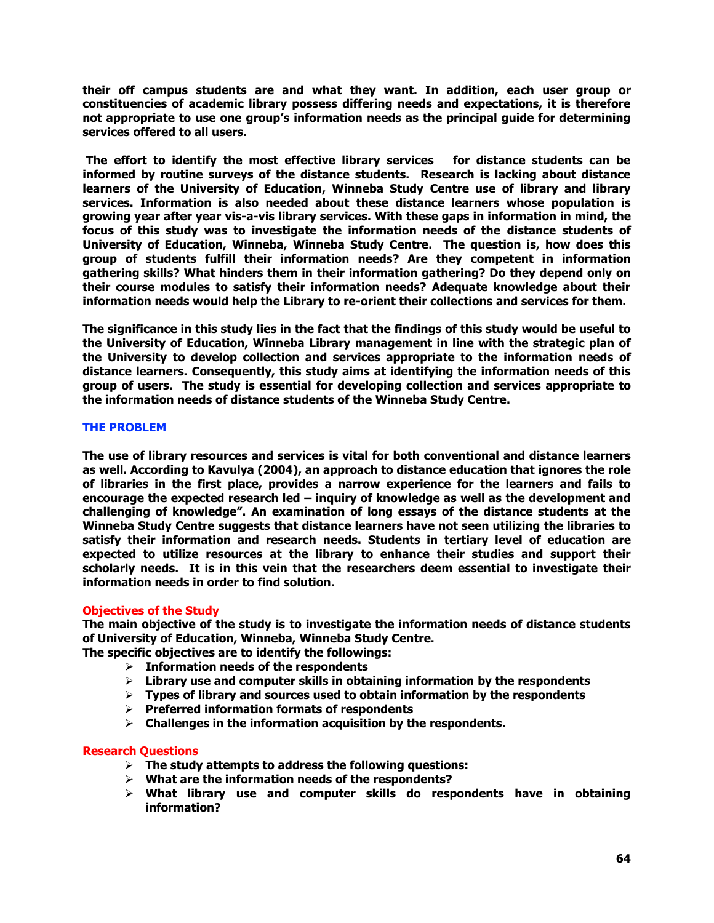**their off campus students are and what they want. In addition, each user group or constituencies of academic library possess differing needs and expectations, it is therefore not appropriate to use one group's information needs as the principal guide for determining services offered to all users.**

**The effort to identify the most effective library services for distance students can be informed by routine surveys of the distance students. Research is lacking about distance learners of the University of Education, Winneba Study Centre use of library and library services. Information is also needed about these distance learners whose population is growing year after year vis-a-vis library services. With these gaps in information in mind, the focus of this study was to investigate the information needs of the distance students of University of Education, Winneba, Winneba Study Centre. The question is, how does this group of students fulfill their information needs? Are they competent in information gathering skills? What hinders them in their information gathering? Do they depend only on their course modules to satisfy their information needs? Adequate knowledge about their information needs would help the Library to re-orient their collections and services for them.**

**The significance in this study lies in the fact that the findings of this study would be useful to the University of Education, Winneba Library management in line with the strategic plan of the University to develop collection and services appropriate to the information needs of distance learners. Consequently, this study aims at identifying the information needs of this group of users. The study is essential for developing collection and services appropriate to the information needs of distance students of the Winneba Study Centre.**

## **THE PROBLEM**

**The use of library resources and services is vital for both conventional and distance learners as well. According to Kavulya (2004), an approach to distance education that ignores the role of libraries in the first place, provides a narrow experience for the learners and fails to encourage the expected research led – inquiry of knowledge as well as the development and challenging of knowledge". An examination of long essays of the distance students at the Winneba Study Centre suggests that distance learners have not seen utilizing the libraries to satisfy their information and research needs. Students in tertiary level of education are expected to utilize resources at the library to enhance their studies and support their scholarly needs. It is in this vein that the researchers deem essential to investigate their information needs in order to find solution.**

# **Objectives of the Study**

**The main objective of the study is to investigate the information needs of distance students of University of Education, Winneba, Winneba Study Centre.** 

**The specific objectives are to identify the followings:**

- **Information needs of the respondents**
- **Library use and computer skills in obtaining information by the respondents**
- **Types of library and sources used to obtain information by the respondents**
- **Preferred information formats of respondents**
- **Challenges in the information acquisition by the respondents.**

# **Research Questions**

- **The study attempts to address the following questions:**
- **What are the information needs of the respondents?**
- **What library use and computer skills do respondents have in obtaining information?**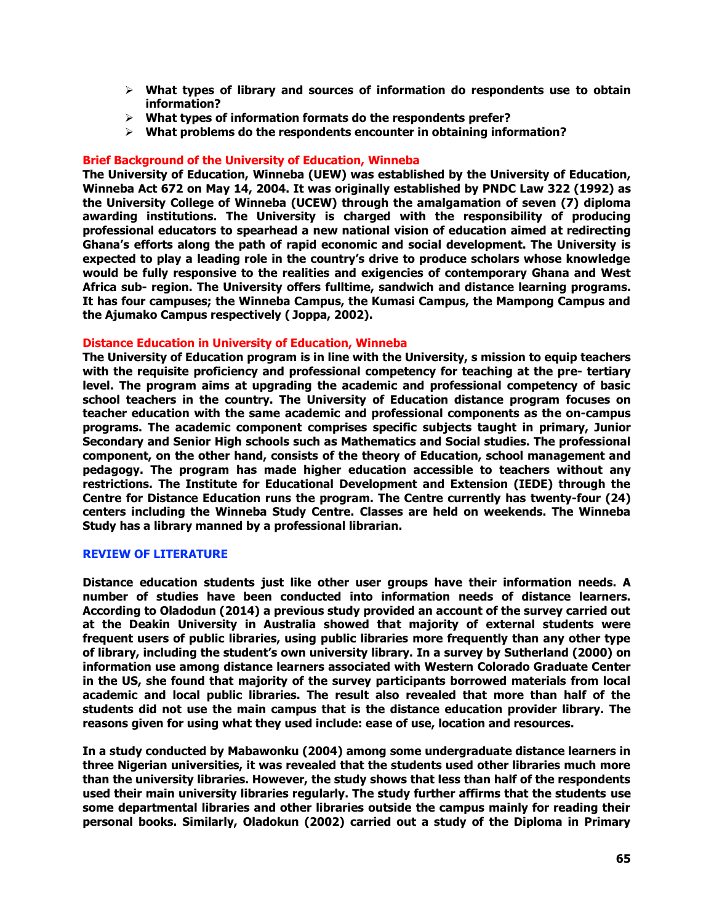- **What types of library and sources of information do respondents use to obtain information?**
- **What types of information formats do the respondents prefer?**
- **What problems do the respondents encounter in obtaining information?**

## **Brief Background of the University of Education, Winneba**

**The University of Education, Winneba (UEW) was established by the University of Education, Winneba Act 672 on May 14, 2004. It was originally established by PNDC Law 322 (1992) as the University College of Winneba (UCEW) through the amalgamation of seven (7) diploma awarding institutions. The University is charged with the responsibility of producing professional educators to spearhead a new national vision of education aimed at redirecting Ghana's efforts along the path of rapid economic and social development. The University is expected to play a leading role in the country's drive to produce scholars whose knowledge would be fully responsive to the realities and exigencies of contemporary Ghana and West Africa sub- region. The University offers fulltime, sandwich and distance learning programs. It has four campuses; the Winneba Campus, the Kumasi Campus, the Mampong Campus and the Ajumako Campus respectively ( Joppa, 2002).**

## **Distance Education in University of Education, Winneba**

**The University of Education program is in line with the University, s mission to equip teachers with the requisite proficiency and professional competency for teaching at the pre- tertiary level. The program aims at upgrading the academic and professional competency of basic school teachers in the country. The University of Education distance program focuses on teacher education with the same academic and professional components as the on-campus programs. The academic component comprises specific subjects taught in primary, Junior Secondary and Senior High schools such as Mathematics and Social studies. The professional component, on the other hand, consists of the theory of Education, school management and pedagogy. The program has made higher education accessible to teachers without any restrictions. The Institute for Educational Development and Extension (IEDE) through the Centre for Distance Education runs the program. The Centre currently has twenty-four (24) centers including the Winneba Study Centre. Classes are held on weekends. The Winneba Study has a library manned by a professional librarian.**

#### **REVIEW OF LITERATURE**

**Distance education students just like other user groups have their information needs. A number of studies have been conducted into information needs of distance learners. According to Oladodun (2014) a previous study provided an account of the survey carried out at the Deakin University in Australia showed that majority of external students were frequent users of public libraries, using public libraries more frequently than any other type of library, including the student's own university library. In a survey by Sutherland (2000) on information use among distance learners associated with Western Colorado Graduate Center in the US, she found that majority of the survey participants borrowed materials from local academic and local public libraries. The result also revealed that more than half of the students did not use the main campus that is the distance education provider library. The reasons given for using what they used include: ease of use, location and resources.**

**In a study conducted by Mabawonku (2004) among some undergraduate distance learners in three Nigerian universities, it was revealed that the students used other libraries much more than the university libraries. However, the study shows that less than half of the respondents used their main university libraries regularly. The study further affirms that the students use some departmental libraries and other libraries outside the campus mainly for reading their personal books. Similarly, Oladokun (2002) carried out a study of the Diploma in Primary**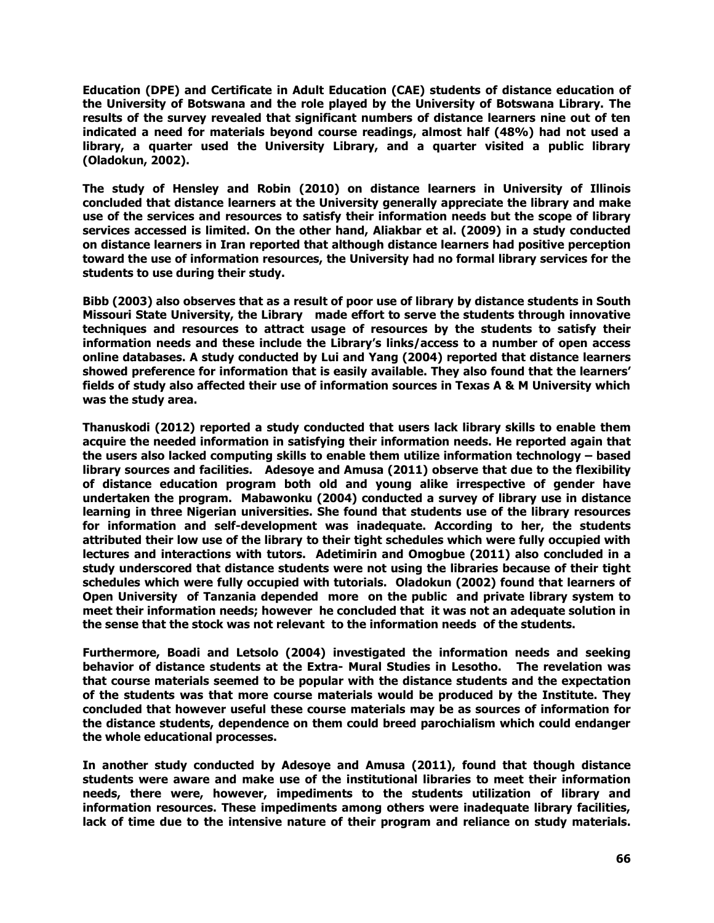**Education (DPE) and Certificate in Adult Education (CAE) students of distance education of the University of Botswana and the role played by the University of Botswana Library. The results of the survey revealed that significant numbers of distance learners nine out of ten indicated a need for materials beyond course readings, almost half (48%) had not used a library, a quarter used the University Library, and a quarter visited a public library (Oladokun, 2002).** 

**The study of Hensley and Robin (2010) on distance learners in University of Illinois concluded that distance learners at the University generally appreciate the library and make use of the services and resources to satisfy their information needs but the scope of library services accessed is limited. On the other hand, Aliakbar et al. (2009) in a study conducted on distance learners in Iran reported that although distance learners had positive perception toward the use of information resources, the University had no formal library services for the students to use during their study.**

**Bibb (2003) also observes that as a result of poor use of library by distance students in South Missouri State University, the Library made effort to serve the students through innovative techniques and resources to attract usage of resources by the students to satisfy their information needs and these include the Library's links/access to a number of open access online databases. A study conducted by Lui and Yang (2004) reported that distance learners showed preference for information that is easily available. They also found that the learners' fields of study also affected their use of information sources in Texas A & M University which was the study area.**

**Thanuskodi (2012) reported a study conducted that users lack library skills to enable them acquire the needed information in satisfying their information needs. He reported again that the users also lacked computing skills to enable them utilize information technology – based library sources and facilities. Adesoye and Amusa (2011) observe that due to the flexibility of distance education program both old and young alike irrespective of gender have undertaken the program. Mabawonku (2004) conducted a survey of library use in distance learning in three Nigerian universities. She found that students use of the library resources for information and self-development was inadequate. According to her, the students attributed their low use of the library to their tight schedules which were fully occupied with lectures and interactions with tutors. Adetimirin and Omogbue (2011) also concluded in a study underscored that distance students were not using the libraries because of their tight schedules which were fully occupied with tutorials. Oladokun (2002) found that learners of Open University of Tanzania depended more on the public and private library system to meet their information needs; however he concluded that it was not an adequate solution in the sense that the stock was not relevant to the information needs of the students.** 

**Furthermore, Boadi and Letsolo (2004) investigated the information needs and seeking behavior of distance students at the Extra- Mural Studies in Lesotho. The revelation was that course materials seemed to be popular with the distance students and the expectation of the students was that more course materials would be produced by the Institute. They concluded that however useful these course materials may be as sources of information for the distance students, dependence on them could breed parochialism which could endanger the whole educational processes.**

**In another study conducted by Adesoye and Amusa (2011), found that though distance students were aware and make use of the institutional libraries to meet their information needs, there were, however, impediments to the students utilization of library and information resources. These impediments among others were inadequate library facilities, lack of time due to the intensive nature of their program and reliance on study materials.**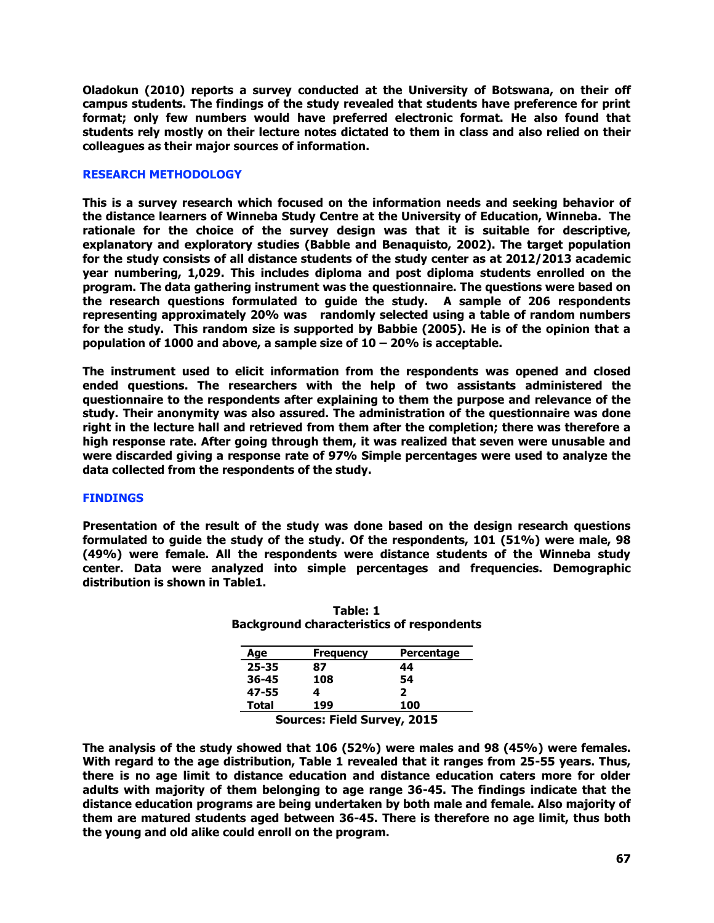**Oladokun (2010) reports a survey conducted at the University of Botswana, on their off campus students. The findings of the study revealed that students have preference for print format; only few numbers would have preferred electronic format. He also found that students rely mostly on their lecture notes dictated to them in class and also relied on their colleagues as their major sources of information.**

## **RESEARCH METHODOLOGY**

**This is a survey research which focused on the information needs and seeking behavior of the distance learners of Winneba Study Centre at the University of Education, Winneba. The rationale for the choice of the survey design was that it is suitable for descriptive, explanatory and exploratory studies (Babble and Benaquisto, 2002). The target population for the study consists of all distance students of the study center as at 2012/2013 academic year numbering, 1,029. This includes diploma and post diploma students enrolled on the program. The data gathering instrument was the questionnaire. The questions were based on the research questions formulated to guide the study. A sample of 206 respondents representing approximately 20% was randomly selected using a table of random numbers for the study. This random size is supported by Babbie (2005). He is of the opinion that a population of 1000 and above, a sample size of 10 – 20% is acceptable.**

**The instrument used to elicit information from the respondents was opened and closed ended questions. The researchers with the help of two assistants administered the questionnaire to the respondents after explaining to them the purpose and relevance of the study. Their anonymity was also assured. The administration of the questionnaire was done right in the lecture hall and retrieved from them after the completion; there was therefore a high response rate. After going through them, it was realized that seven were unusable and were discarded giving a response rate of 97% Simple percentages were used to analyze the data collected from the respondents of the study.**

#### **FINDINGS**

**Presentation of the result of the study was done based on the design research questions formulated to guide the study of the study. Of the respondents, 101 (51%) were male, 98 (49%) were female. All the respondents were distance students of the Winneba study center. Data were analyzed into simple percentages and frequencies. Demographic distribution is shown in Table1.**

| Age       | <b>Frequency</b> | Percentage |
|-----------|------------------|------------|
| $25 - 35$ | 87               | 44         |
| 36-45     | 108              | 54         |
| 47-55     |                  | 2          |
| Total     | 199              | 100        |

**Table: 1 Background characteristics of respondents**

**Sources: Field Survey, 2015**

**The analysis of the study showed that 106 (52%) were males and 98 (45%) were females. With regard to the age distribution, Table 1 revealed that it ranges from 25-55 years. Thus, there is no age limit to distance education and distance education caters more for older adults with majority of them belonging to age range 36-45. The findings indicate that the distance education programs are being undertaken by both male and female. Also majority of them are matured students aged between 36-45. There is therefore no age limit, thus both the young and old alike could enroll on the program.**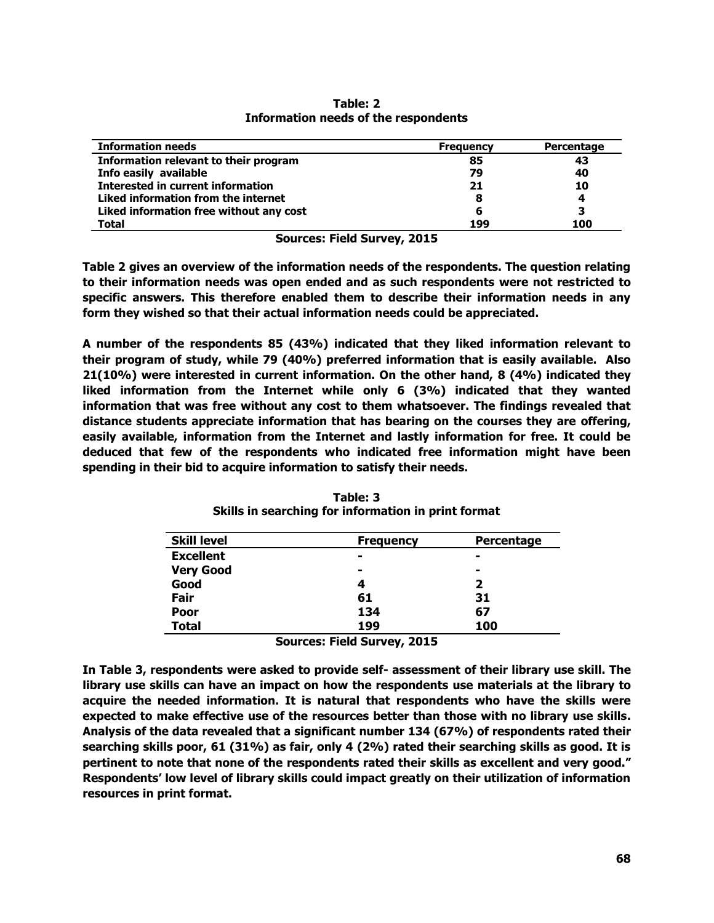| <b>Information needs</b>                 | <b>Frequency</b> | Percentage |
|------------------------------------------|------------------|------------|
| Information relevant to their program    | 85               | 43         |
| Info easily available                    | 79               | 40         |
| <b>Interested in current information</b> | 21               | 10         |
| Liked information from the internet      | 8                | 4          |
| Liked information free without any cost  | 6                |            |
| <b>Total</b>                             | 199              | 100        |

**Table: 2 Information needs of the respondents**

**Sources: Field Survey, 2015**

**Table 2 gives an overview of the information needs of the respondents. The question relating to their information needs was open ended and as such respondents were not restricted to specific answers. This therefore enabled them to describe their information needs in any form they wished so that their actual information needs could be appreciated.** 

**A number of the respondents 85 (43%) indicated that they liked information relevant to their program of study, while 79 (40%) preferred information that is easily available. Also 21(10%) were interested in current information. On the other hand, 8 (4%) indicated they liked information from the Internet while only 6 (3%) indicated that they wanted information that was free without any cost to them whatsoever. The findings revealed that distance students appreciate information that has bearing on the courses they are offering, easily available, information from the Internet and lastly information for free. It could be deduced that few of the respondents who indicated free information might have been spending in their bid to acquire information to satisfy their needs.**

| <b>Skill level</b> | <b>Frequency</b> | Percentage |
|--------------------|------------------|------------|
| <b>Excellent</b>   | $\blacksquare$   | -          |
| <b>Very Good</b>   | $\blacksquare$   | -          |
| Good               | 4                | 2          |
| Fair               | 61               | 31         |
| Poor               | 134              | 67         |
| <b>Total</b>       | 199              | 100        |

**Table: 3 Skills in searching for information in print format**

**Sources: Field Survey, 2015**

**In Table 3, respondents were asked to provide self- assessment of their library use skill. The library use skills can have an impact on how the respondents use materials at the library to acquire the needed information. It is natural that respondents who have the skills were expected to make effective use of the resources better than those with no library use skills. Analysis of the data revealed that a significant number 134 (67%) of respondents rated their searching skills poor, 61 (31%) as fair, only 4 (2%) rated their searching skills as good. It is pertinent to note that none of the respondents rated their skills as excellent and very good." Respondents' low level of library skills could impact greatly on their utilization of information resources in print format.**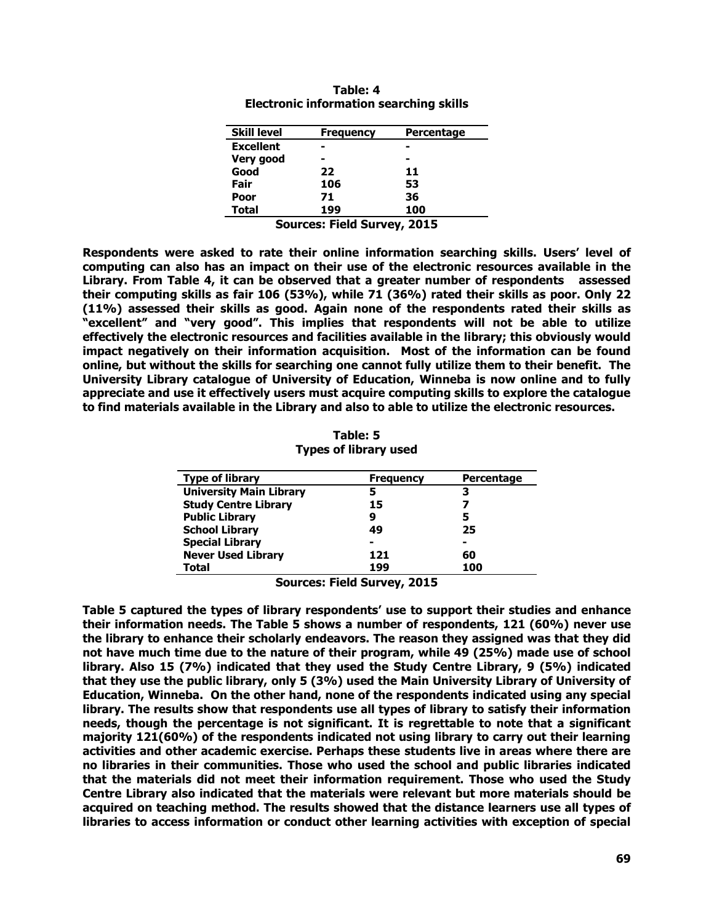| <b>Skill level</b>                 | <b>Frequency</b> | <b>Percentage</b> |  |
|------------------------------------|------------------|-------------------|--|
| <b>Excellent</b>                   |                  |                   |  |
| Very good                          |                  |                   |  |
| Good                               | 22               | 11                |  |
| Fair                               | 106              | 53                |  |
| <b>Poor</b>                        | 71               | 36                |  |
| <b>Total</b>                       | 199              | 100               |  |
| <b>Sources: Field Survey, 2015</b> |                  |                   |  |

| Table: 4                                       |  |  |  |  |
|------------------------------------------------|--|--|--|--|
| <b>Electronic information searching skills</b> |  |  |  |  |

**Respondents were asked to rate their online information searching skills. Users' level of computing can also has an impact on their use of the electronic resources available in the Library. From Table 4, it can be observed that a greater number of respondents assessed their computing skills as fair 106 (53%), while 71 (36%) rated their skills as poor. Only 22 (11%) assessed their skills as good. Again none of the respondents rated their skills as "excellent" and "very good". This implies that respondents will not be able to utilize effectively the electronic resources and facilities available in the library; this obviously would impact negatively on their information acquisition. Most of the information can be found online, but without the skills for searching one cannot fully utilize them to their benefit. The University Library catalogue of University of Education, Winneba is now online and to fully appreciate and use it effectively users must acquire computing skills to explore the catalogue to find materials available in the Library and also to able to utilize the electronic resources.**

| Table: 5                     |  |
|------------------------------|--|
| <b>Types of library used</b> |  |

| <b>Type of library</b>         | <b>Frequency</b> | <b>Percentage</b> |
|--------------------------------|------------------|-------------------|
| <b>University Main Library</b> | 5                | 3                 |
| <b>Study Centre Library</b>    | 15               |                   |
| <b>Public Library</b>          | 9                | 5                 |
| <b>School Library</b>          | 49               | 25                |
| <b>Special Library</b>         | $\blacksquare$   |                   |
| <b>Never Used Library</b>      | 121              | 60                |
| <b>Total</b>                   | 199              | 100               |

**Sources: Field Survey, 2015**

**Table 5 captured the types of library respondents' use to support their studies and enhance their information needs. The Table 5 shows a number of respondents, 121 (60%) never use the library to enhance their scholarly endeavors. The reason they assigned was that they did not have much time due to the nature of their program, while 49 (25%) made use of school library. Also 15 (7%) indicated that they used the Study Centre Library, 9 (5%) indicated that they use the public library, only 5 (3%) used the Main University Library of University of Education, Winneba. On the other hand, none of the respondents indicated using any special library. The results show that respondents use all types of library to satisfy their information needs, though the percentage is not significant. It is regrettable to note that a significant majority 121(60%) of the respondents indicated not using library to carry out their learning activities and other academic exercise. Perhaps these students live in areas where there are no libraries in their communities. Those who used the school and public libraries indicated that the materials did not meet their information requirement. Those who used the Study Centre Library also indicated that the materials were relevant but more materials should be acquired on teaching method. The results showed that the distance learners use all types of libraries to access information or conduct other learning activities with exception of special**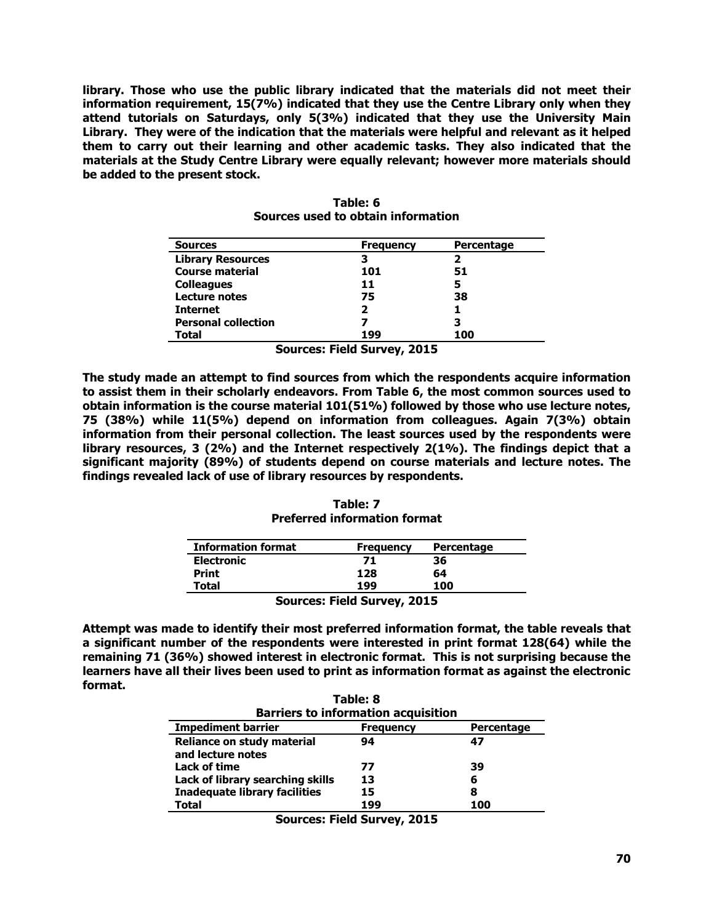**library. Those who use the public library indicated that the materials did not meet their information requirement, 15(7%) indicated that they use the Centre Library only when they attend tutorials on Saturdays, only 5(3%) indicated that they use the University Main Library. They were of the indication that the materials were helpful and relevant as it helped them to carry out their learning and other academic tasks. They also indicated that the materials at the Study Centre Library were equally relevant; however more materials should be added to the present stock.**

| <b>Sources</b>             | <b>Frequency</b> | <b>Percentage</b> |
|----------------------------|------------------|-------------------|
| <b>Library Resources</b>   | з                | 2                 |
| <b>Course material</b>     | 101              | 51                |
| <b>Colleagues</b>          | 11               | 5                 |
| Lecture notes              | 75               | 38                |
| <b>Internet</b>            | 2                |                   |
| <b>Personal collection</b> |                  | 3                 |
| Total                      | 199              | 100               |

| Table: 6 |  |  |  |                                    |
|----------|--|--|--|------------------------------------|
|          |  |  |  | Sources used to obtain information |

**Sources: Field Survey, 2015**

**The study made an attempt to find sources from which the respondents acquire information to assist them in their scholarly endeavors. From Table 6, the most common sources used to obtain information is the course material 101(51%) followed by those who use lecture notes, 75 (38%) while 11(5%) depend on information from colleagues. Again 7(3%) obtain information from their personal collection. The least sources used by the respondents were library resources, 3 (2%) and the Internet respectively 2(1%). The findings depict that a significant majority (89%) of students depend on course materials and lecture notes. The findings revealed lack of use of library resources by respondents.**

**Table: 7 Preferred information format**

| <b>Information format</b> | <b>Frequency</b> | Percentage |  |
|---------------------------|------------------|------------|--|
| <b>Electronic</b>         | 71               | 36         |  |
| <b>Print</b>              | 128              | 64         |  |
| Total                     | 199              | 100        |  |
| Courses Field Curvey 2015 |                  |            |  |

**Sources: Field Survey, 2015**

**Attempt was made to identify their most preferred information format, the table reveals that a significant number of the respondents were interested in print format 128(64) while the remaining 71 (36%) showed interest in electronic format. This is not surprising because the learners have all their lives been used to print as information format as against the electronic format. Table: 8**

| Table: 8                                        |                  |                   |  |  |
|-------------------------------------------------|------------------|-------------------|--|--|
| <b>Barriers to information acquisition</b>      |                  |                   |  |  |
| <b>Impediment barrier</b>                       | <b>Frequency</b> | <b>Percentage</b> |  |  |
| Reliance on study material<br>and lecture notes | 94               | 47                |  |  |
| Lack of time                                    | 77               | 39                |  |  |
| Lack of library searching skills                | 13               | 6                 |  |  |
| <b>Inadequate library facilities</b>            | 15               | 8                 |  |  |
| Total                                           | 199              | 100               |  |  |

**Sources: Field Survey, 2015**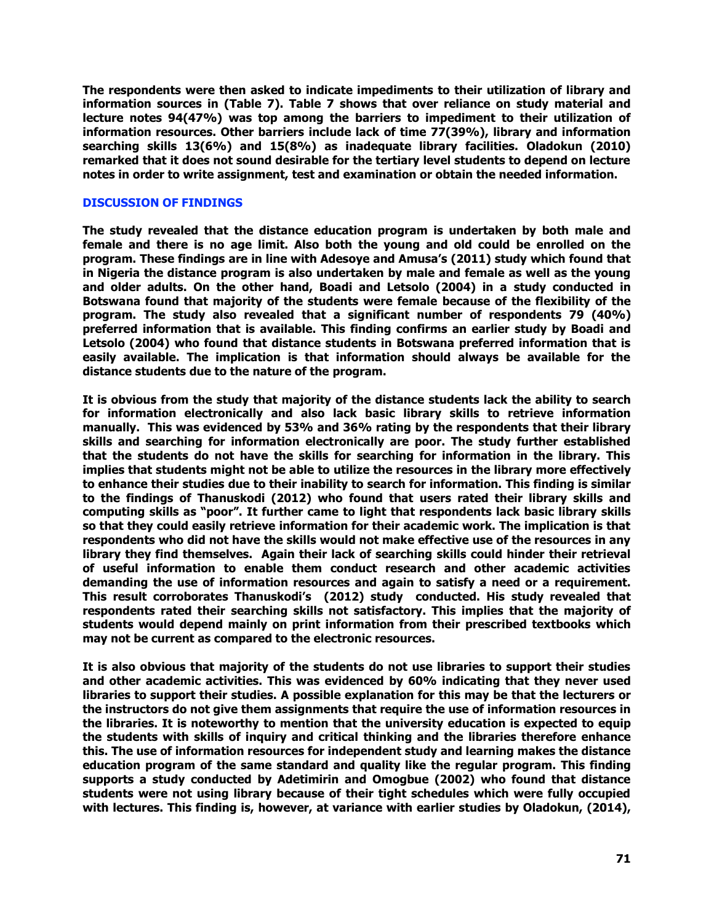**The respondents were then asked to indicate impediments to their utilization of library and information sources in (Table 7). Table 7 shows that over reliance on study material and lecture notes 94(47%) was top among the barriers to impediment to their utilization of information resources. Other barriers include lack of time 77(39%), library and information searching skills 13(6%) and 15(8%) as inadequate library facilities. Oladokun (2010) remarked that it does not sound desirable for the tertiary level students to depend on lecture notes in order to write assignment, test and examination or obtain the needed information.**

### **DISCUSSION OF FINDINGS**

**The study revealed that the distance education program is undertaken by both male and female and there is no age limit. Also both the young and old could be enrolled on the program. These findings are in line with Adesoye and Amusa's (2011) study which found that in Nigeria the distance program is also undertaken by male and female as well as the young and older adults. On the other hand, Boadi and Letsolo (2004) in a study conducted in Botswana found that majority of the students were female because of the flexibility of the program. The study also revealed that a significant number of respondents 79 (40%) preferred information that is available. This finding confirms an earlier study by Boadi and Letsolo (2004) who found that distance students in Botswana preferred information that is easily available. The implication is that information should always be available for the distance students due to the nature of the program.** 

**It is obvious from the study that majority of the distance students lack the ability to search for information electronically and also lack basic library skills to retrieve information manually. This was evidenced by 53% and 36% rating by the respondents that their library skills and searching for information electronically are poor. The study further established that the students do not have the skills for searching for information in the library. This implies that students might not be able to utilize the resources in the library more effectively to enhance their studies due to their inability to search for information. This finding is similar to the findings of Thanuskodi (2012) who found that users rated their library skills and computing skills as "poor". It further came to light that respondents lack basic library skills so that they could easily retrieve information for their academic work. The implication is that respondents who did not have the skills would not make effective use of the resources in any library they find themselves. Again their lack of searching skills could hinder their retrieval of useful information to enable them conduct research and other academic activities demanding the use of information resources and again to satisfy a need or a requirement. This result corroborates Thanuskodi's (2012) study conducted. His study revealed that respondents rated their searching skills not satisfactory. This implies that the majority of students would depend mainly on print information from their prescribed textbooks which may not be current as compared to the electronic resources.**

**It is also obvious that majority of the students do not use libraries to support their studies and other academic activities. This was evidenced by 60% indicating that they never used libraries to support their studies. A possible explanation for this may be that the lecturers or the instructors do not give them assignments that require the use of information resources in the libraries. It is noteworthy to mention that the university education is expected to equip the students with skills of inquiry and critical thinking and the libraries therefore enhance this. The use of information resources for independent study and learning makes the distance education program of the same standard and quality like the regular program. This finding supports a study conducted by Adetimirin and Omogbue (2002) who found that distance students were not using library because of their tight schedules which were fully occupied with lectures. This finding is, however, at variance with earlier studies by Oladokun, (2014),**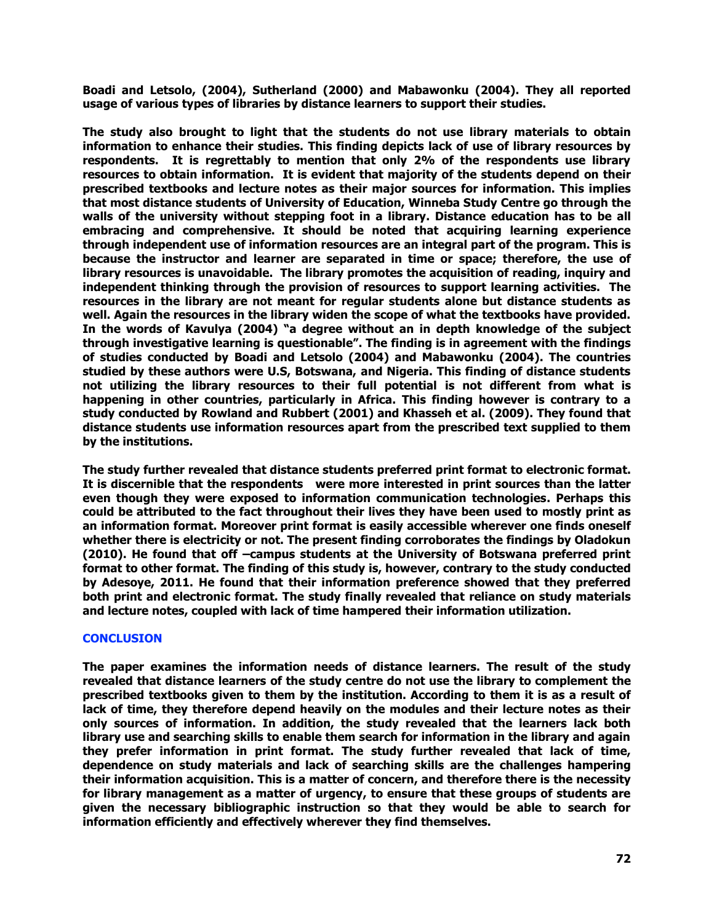**Boadi and Letsolo, (2004), Sutherland (2000) and Mabawonku (2004). They all reported usage of various types of libraries by distance learners to support their studies.**

**The study also brought to light that the students do not use library materials to obtain information to enhance their studies. This finding depicts lack of use of library resources by respondents. It is regrettably to mention that only 2% of the respondents use library resources to obtain information. It is evident that majority of the students depend on their prescribed textbooks and lecture notes as their major sources for information. This implies that most distance students of University of Education, Winneba Study Centre go through the walls of the university without stepping foot in a library. Distance education has to be all embracing and comprehensive. It should be noted that acquiring learning experience through independent use of information resources are an integral part of the program. This is because the instructor and learner are separated in time or space; therefore, the use of library resources is unavoidable. The library promotes the acquisition of reading, inquiry and independent thinking through the provision of resources to support learning activities. The resources in the library are not meant for regular students alone but distance students as well. Again the resources in the library widen the scope of what the textbooks have provided. In the words of Kavulya (2004) "a degree without an in depth knowledge of the subject through investigative learning is questionable". The finding is in agreement with the findings of studies conducted by Boadi and Letsolo (2004) and Mabawonku (2004). The countries studied by these authors were U.S, Botswana, and Nigeria. This finding of distance students not utilizing the library resources to their full potential is not different from what is happening in other countries, particularly in Africa. This finding however is contrary to a study conducted by Rowland and Rubbert (2001) and Khasseh et al. (2009). They found that distance students use information resources apart from the prescribed text supplied to them by the institutions.**

**The study further revealed that distance students preferred print format to electronic format. It is discernible that the respondents were more interested in print sources than the latter even though they were exposed to information communication technologies. Perhaps this could be attributed to the fact throughout their lives they have been used to mostly print as an information format. Moreover print format is easily accessible wherever one finds oneself whether there is electricity or not. The present finding corroborates the findings by Oladokun (2010). He found that off –campus students at the University of Botswana preferred print format to other format. The finding of this study is, however, contrary to the study conducted by Adesoye, 2011. He found that their information preference showed that they preferred both print and electronic format. The study finally revealed that reliance on study materials and lecture notes, coupled with lack of time hampered their information utilization.**

#### **CONCLUSION**

**The paper examines the information needs of distance learners. The result of the study revealed that distance learners of the study centre do not use the library to complement the prescribed textbooks given to them by the institution. According to them it is as a result of lack of time, they therefore depend heavily on the modules and their lecture notes as their only sources of information. In addition, the study revealed that the learners lack both library use and searching skills to enable them search for information in the library and again they prefer information in print format. The study further revealed that lack of time, dependence on study materials and lack of searching skills are the challenges hampering their information acquisition. This is a matter of concern, and therefore there is the necessity for library management as a matter of urgency, to ensure that these groups of students are given the necessary bibliographic instruction so that they would be able to search for information efficiently and effectively wherever they find themselves.**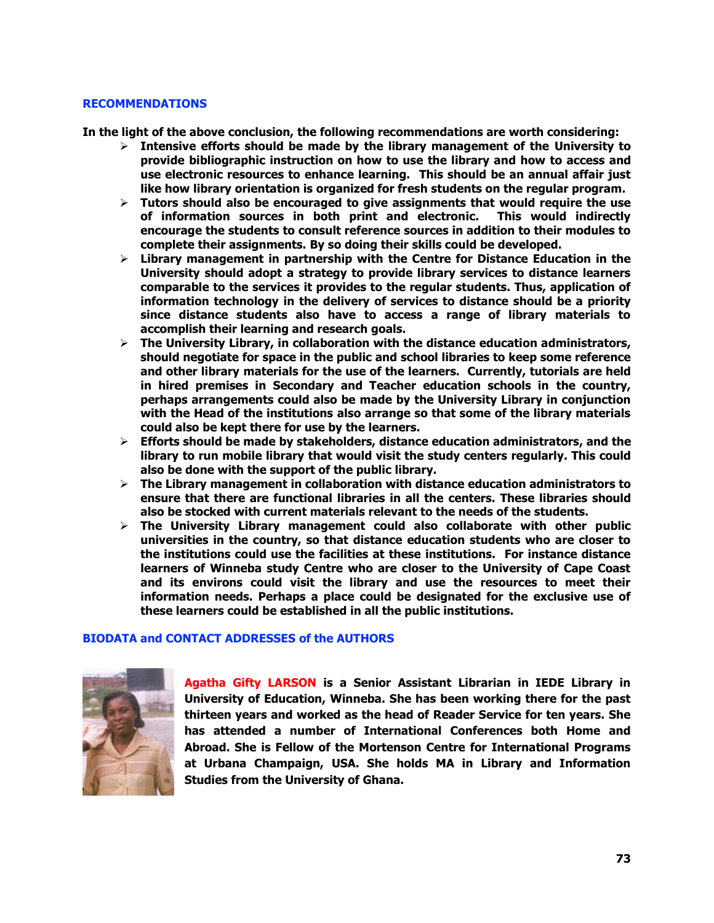#### **RECOMMENDATIONS**

**In the light of the above conclusion, the following recommendations are worth considering:**

- **Intensive efforts should be made by the library management of the University to provide bibliographic instruction on how to use the library and how to access and use electronic resources to enhance learning. This should be an annual affair just like how library orientation is organized for fresh students on the regular program.**
- **Tutors should also be encouraged to give assignments that would require the use of information sources in both print and electronic. This would indirectly encourage the students to consult reference sources in addition to their modules to complete their assignments. By so doing their skills could be developed.**
- **Library management in partnership with the Centre for Distance Education in the University should adopt a strategy to provide library services to distance learners comparable to the services it provides to the regular students. Thus, application of information technology in the delivery of services to distance should be a priority since distance students also have to access a range of library materials to accomplish their learning and research goals.**
- **The University Library, in collaboration with the distance education administrators, should negotiate for space in the public and school libraries to keep some reference and other library materials for the use of the learners. Currently, tutorials are held in hired premises in Secondary and Teacher education schools in the country, perhaps arrangements could also be made by the University Library in conjunction with the Head of the institutions also arrange so that some of the library materials could also be kept there for use by the learners.**
- **Efforts should be made by stakeholders, distance education administrators, and the library to run mobile library that would visit the study centers regularly. This could also be done with the support of the public library.**
- **The Library management in collaboration with distance education administrators to ensure that there are functional libraries in all the centers. These libraries should also be stocked with current materials relevant to the needs of the students.**
- **The University Library management could also collaborate with other public universities in the country, so that distance education students who are closer to the institutions could use the facilities at these institutions. For instance distance learners of Winneba study Centre who are closer to the University of Cape Coast and its environs could visit the library and use the resources to meet their information needs. Perhaps a place could be designated for the exclusive use of these learners could be established in all the public institutions.**

# **BIODATA and CONTACT ADDRESSES of the AUTHORS**



**Agatha Gifty LARSON is a Senior Assistant Librarian in IEDE Library in University of Education, Winneba. She has been working there for the past thirteen years and worked as the head of Reader Service for ten years. She has attended a number of International Conferences both Home and Abroad. She is Fellow of the Mortenson Centre for International Programs at Urbana Champaign, USA. She holds MA in Library and Information Studies from the University of Ghana.**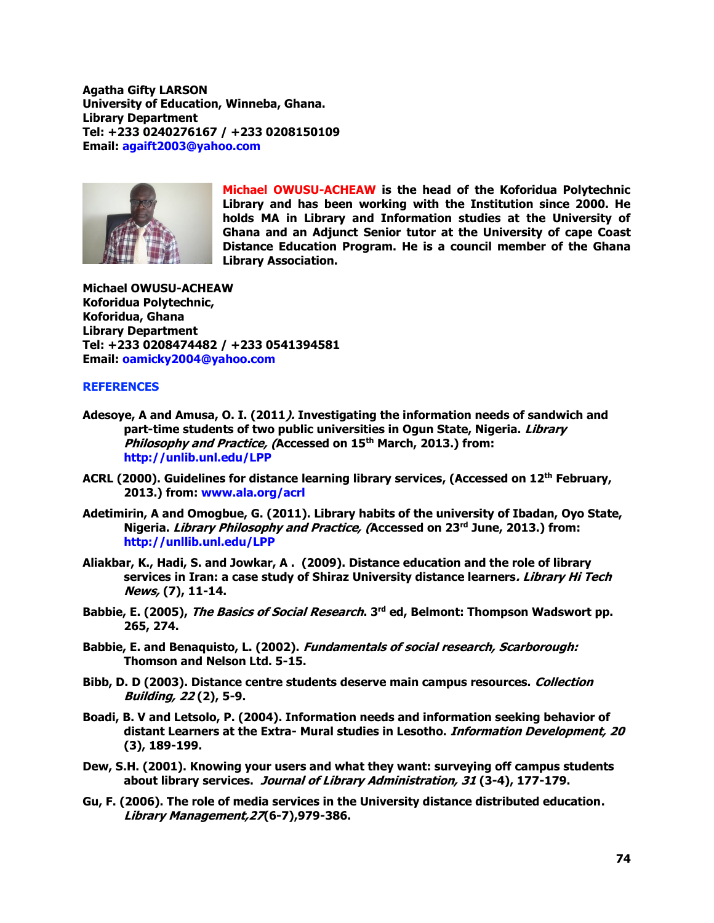**Agatha Gifty LARSON University of Education, Winneba, Ghana. Library Department Tel: +233 0240276167 / +233 0208150109 Email: [agaift2003@yahoo.com](mailto:agaift2003@yahoo.com)**



**Michael OWUSU-ACHEAW is the head of the Koforidua Polytechnic Library and has been working with the Institution since 2000. He holds MA in Library and Information studies at the University of Ghana and an Adjunct Senior tutor at the University of cape Coast Distance Education Program. He is a council member of the Ghana Library Association.**

**Michael OWUSU-ACHEAW Koforidua Polytechnic, Koforidua, Ghana Library Department Tel: +233 0208474482 / +233 0541394581 Email: [oamicky2004@yahoo.com](mailto:oamicky2004@yahoo.com)**

# **REFERENCES**

- **Adesoye, A and Amusa, O. I. (2011). Investigating the information needs of sandwich and part-time students of two public universities in Ogun State, Nigeria. Library Philosophy and Practice, (Accessed on 15th March, 2013.) from: <http://unlib.unl.edu/LPP>**
- **ACRL (2000). Guidelines for distance learning library services, (Accessed on 12th February, 2013.) from: [www.ala.org/acrl](http://www.ala.org/acrl)**
- **Adetimirin, A and Omogbue, G. (2011). Library habits of the university of Ibadan, Oyo State, Nigeria. Library Philosophy and Practice, (Accessed on 23rd June, 2013.) from: <http://unllib.unl.edu/LPP>**
- **Aliakbar, K., Hadi, S. and Jowkar, A . (2009). Distance education and the role of library services in Iran: a case study of Shiraz University distance learners. Library Hi Tech News, (7), 11-14.**
- **Babbie, E. (2005), The Basics of Social Research. 3rd ed, Belmont: Thompson Wadswort pp. 265, 274.**
- **Babbie, E. and Benaquisto, L. (2002). Fundamentals of social research, Scarborough: Thomson and Nelson Ltd. 5-15.**
- **Bibb, D. D (2003). Distance centre students deserve main campus resources. Collection Building, 22 (2), 5-9.**
- **Boadi, B. V and Letsolo, P. (2004). Information needs and information seeking behavior of distant Learners at the Extra- Mural studies in Lesotho. Information Development, 20 (3), 189-199.**
- **Dew, S.H. (2001). Knowing your users and what they want: surveying off campus students about library services. Journal of Library Administration, 31 (3-4), 177-179.**
- **Gu, F. (2006). The role of media services in the University distance distributed education. Library Management,27(6-7),979-386.**